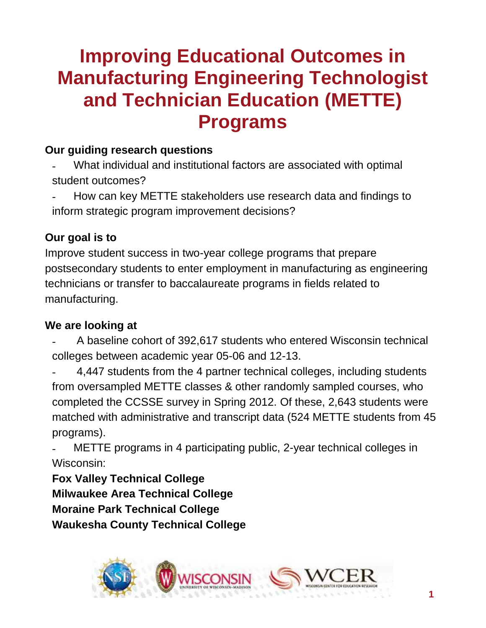# **Improving Educational Outcomes in Manufacturing Engineering Technologist and Technician Education (METTE) Programs**

### **Our guiding research questions**

- What individual and institutional factors are associated with optimal student outcomes?
- How can key METTE stakeholders use research data and findings to inform strategic program improvement decisions?

## **Our goal is to**

Improve student success in two-year college programs that prepare postsecondary students to enter employment in manufacturing as engineering technicians or transfer to baccalaureate programs in fields related to manufacturing.

#### **We are looking at**

- A baseline cohort of 392,617 students who entered Wisconsin technical colleges between academic year 05-06 and 12-13.
- 4,447 students from the 4 partner technical colleges, including students from oversampled METTE classes & other randomly sampled courses, who completed the CCSSE survey in Spring 2012. Of these, 2,643 students were matched with administrative and transcript data (524 METTE students from 45 programs).

METTE programs in 4 participating public, 2-year technical colleges in Wisconsin:

**Fox Valley Technical College Milwaukee Area Technical College Moraine Park Technical College Waukesha County Technical College**

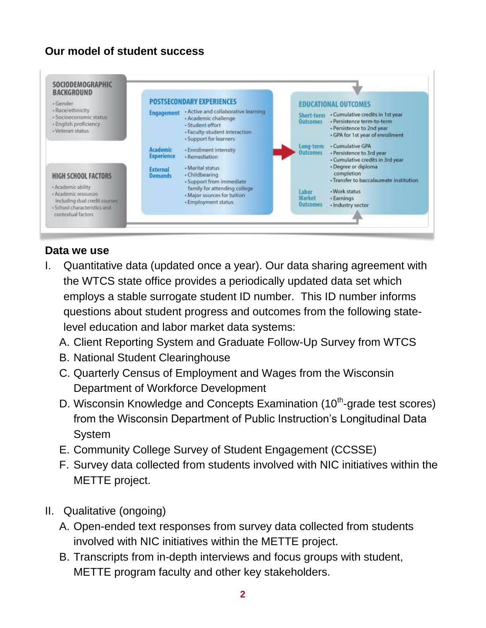### **Our model of student success**



#### **Data we use**

- I. Quantitative data (updated once a year). Our data sharing agreement with the WTCS state office provides a periodically updated data set which employs a stable surrogate student ID number. This ID number informs questions about student progress and outcomes from the following statelevel education and labor market data systems:
	- A. Client Reporting System and Graduate Follow-Up Survey from WTCS
	- B. National Student Clearinghouse
	- C. Quarterly Census of Employment and Wages from the Wisconsin Department of Workforce Development
	- D. Wisconsin Knowledge and Concepts Examination  $(10<sup>th</sup>$ -grade test scores) from the Wisconsin Department of Public Instruction's Longitudinal Data System
	- E. Community College Survey of Student Engagement (CCSSE)
	- F. Survey data collected from students involved with NIC initiatives within the METTE project.
- II. Qualitative (ongoing)
	- A. Open-ended text responses from survey data collected from students involved with NIC initiatives within the METTE project.
	- B. Transcripts from in-depth interviews and focus groups with student, METTE program faculty and other key stakeholders.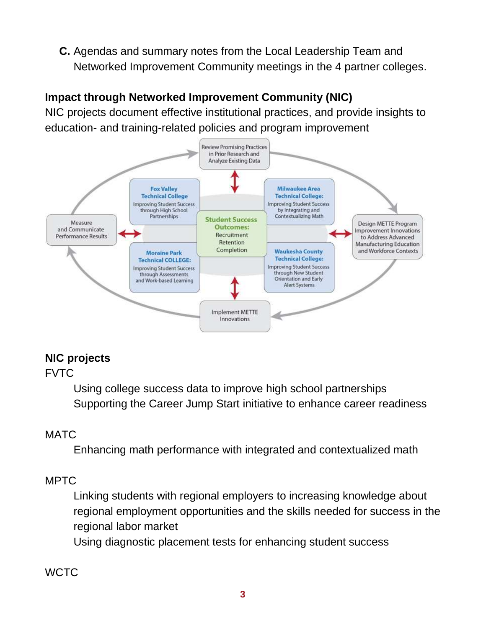**C.** Agendas and summary notes from the Local Leadership Team and Networked Improvement Community meetings in the 4 partner colleges.

## **Impact through Networked Improvement Community (NIC)**

NIC projects document effective institutional practices, and provide insights to education- and training-related policies and program improvement



#### **NIC projects**

FVTC

Using college success data to improve high school partnerships Supporting the Career Jump Start initiative to enhance career readiness

## **MATC**

Enhancing math performance with integrated and contextualized math

#### MPTC

Linking students with regional employers to increasing knowledge about regional employment opportunities and the skills needed for success in the regional labor market

Using diagnostic placement tests for enhancing student success

#### **WCTC**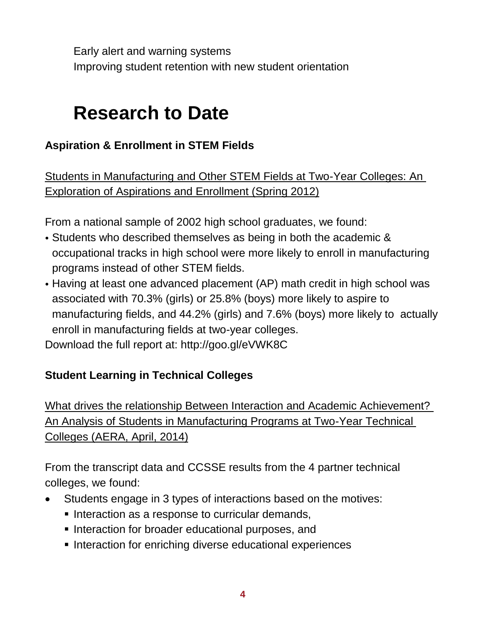Early alert and warning systems Improving student retention with new student orientation

## **Research to Date**

## **Aspiration & Enrollment in STEM Fields**

Students in Manufacturing and Other STEM Fields at Two-Year Colleges: An Exploration of Aspirations and Enrollment (Spring 2012)

From a national sample of 2002 high school graduates, we found:

- Students who described themselves as being in both the academic & occupational tracks in high school were more likely to enroll in manufacturing programs instead of other STEM fields.
- Having at least one advanced placement (AP) math credit in high school was associated with 70.3% (girls) or 25.8% (boys) more likely to aspire to manufacturing fields, and 44.2% (girls) and 7.6% (boys) more likely to actually enroll in manufacturing fields at two-year colleges.

Download the full report at: http://goo.gl/eVWK8C

#### **Student Learning in Technical Colleges**

What drives the relationship Between Interaction and Academic Achievement? An Analysis of Students in Manufacturing Programs at Two-Year Technical Colleges (AERA, April, 2014)

From the transcript data and CCSSE results from the 4 partner technical colleges, we found:

- Students engage in 3 types of interactions based on the motives:
	- Interaction as a response to curricular demands,
	- Interaction for broader educational purposes, and
	- **Interaction for enriching diverse educational experiences**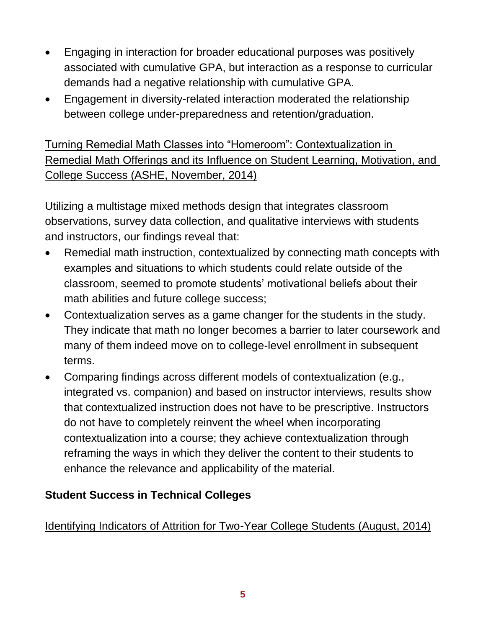- Engaging in interaction for broader educational purposes was positively associated with cumulative GPA, but interaction as a response to curricular demands had a negative relationship with cumulative GPA.
- Engagement in diversity-related interaction moderated the relationship between college under-preparedness and retention/graduation.

Turning Remedial Math Classes into "Homeroom": Contextualization in Remedial Math Offerings and its Influence on Student Learning, Motivation, and College Success (ASHE, November, 2014)

Utilizing a multistage mixed methods design that integrates classroom observations, survey data collection, and qualitative interviews with students and instructors, our findings reveal that:

- Remedial math instruction, contextualized by connecting math concepts with examples and situations to which students could relate outside of the classroom, seemed to promote students' motivational beliefs about their math abilities and future college success;
- Contextualization serves as a game changer for the students in the study. They indicate that math no longer becomes a barrier to later coursework and many of them indeed move on to college-level enrollment in subsequent terms.
- Comparing findings across different models of contextualization (e.g., integrated vs. companion) and based on instructor interviews, results show that contextualized instruction does not have to be prescriptive. Instructors do not have to completely reinvent the wheel when incorporating contextualization into a course; they achieve contextualization through reframing the ways in which they deliver the content to their students to enhance the relevance and applicability of the material.

#### **Student Success in Technical Colleges**

#### Identifying Indicators of Attrition for Two-Year College Students (August, 2014)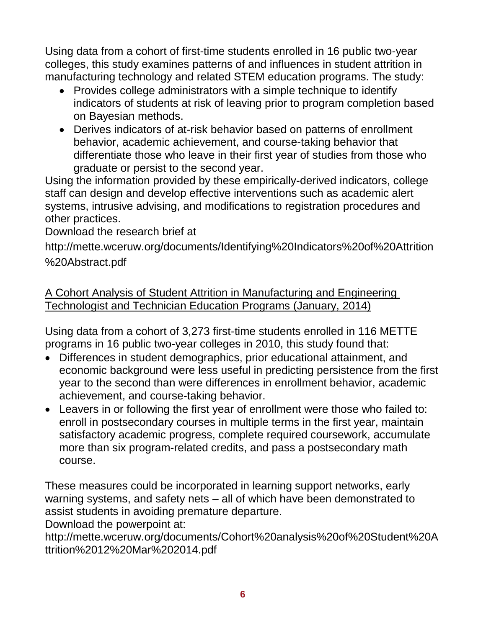Using data from a cohort of first-time students enrolled in 16 public two-year colleges, this study examines patterns of and influences in student attrition in manufacturing technology and related STEM education programs. The study:

- Provides college administrators with a simple technique to identify indicators of students at risk of leaving prior to program completion based on Bayesian methods.
- Derives indicators of at-risk behavior based on patterns of enrollment behavior, academic achievement, and course-taking behavior that differentiate those who leave in their first year of studies from those who graduate or persist to the second year.

Using the information provided by these empirically-derived indicators, college staff can design and develop effective interventions such as academic alert systems, intrusive advising, and modifications to registration procedures and other practices.

Download the research brief at

http://mette.wceruw.org/documents/Identifying%20Indicators%20of%20Attrition %20Abstract.pdf

A Cohort Analysis of Student Attrition in Manufacturing and Engineering Technologist and Technician Education Programs (January, 2014)

Using data from a cohort of 3,273 first-time students enrolled in 116 METTE programs in 16 public two-year colleges in 2010, this study found that:

- Differences in student demographics, prior educational attainment, and economic background were less useful in predicting persistence from the first year to the second than were differences in enrollment behavior, academic achievement, and course-taking behavior.
- Leavers in or following the first year of enrollment were those who failed to: enroll in postsecondary courses in multiple terms in the first year, maintain satisfactory academic progress, complete required coursework, accumulate more than six program-related credits, and pass a postsecondary math course.

These measures could be incorporated in learning support networks, early warning systems, and safety nets – all of which have been demonstrated to assist students in avoiding premature departure.

Download the powerpoint at:

http://mette.wceruw.org/documents/Cohort%20analysis%20of%20Student%20A ttrition%2012%20Mar%202014.pdf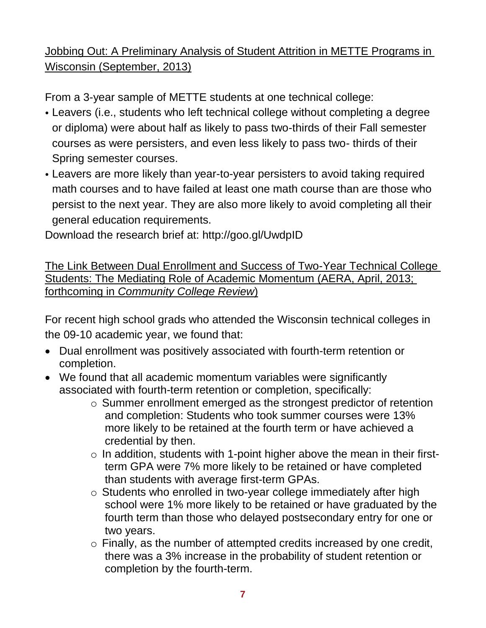## Jobbing Out: A Preliminary Analysis of Student Attrition in METTE Programs in Wisconsin (September, 2013)

From a 3-year sample of METTE students at one technical college:

- Leavers (i.e., students who left technical college without completing a degree or diploma) were about half as likely to pass two-thirds of their Fall semester courses as were persisters, and even less likely to pass two- thirds of their Spring semester courses.
- Leavers are more likely than year-to-year persisters to avoid taking required math courses and to have failed at least one math course than are those who persist to the next year. They are also more likely to avoid completing all their general education requirements.

Download the research brief at: http://goo.gl/UwdpID

The Link Between Dual Enrollment and Success of Two-Year Technical College Students: The Mediating Role of Academic Momentum (AERA, April, 2013; forthcoming in *Community College Review*)

For recent high school grads who attended the Wisconsin technical colleges in the 09-10 academic year, we found that:

- Dual enrollment was positively associated with fourth-term retention or completion.
- We found that all academic momentum variables were significantly associated with fourth-term retention or completion, specifically:
	- o Summer enrollment emerged as the strongest predictor of retention and completion: Students who took summer courses were 13% more likely to be retained at the fourth term or have achieved a credential by then.
	- $\circ$  In addition, students with 1-point higher above the mean in their firstterm GPA were 7% more likely to be retained or have completed than students with average first-term GPAs.
	- o Students who enrolled in two-year college immediately after high school were 1% more likely to be retained or have graduated by the fourth term than those who delayed postsecondary entry for one or two years.
	- o Finally, as the number of attempted credits increased by one credit, there was a 3% increase in the probability of student retention or completion by the fourth-term.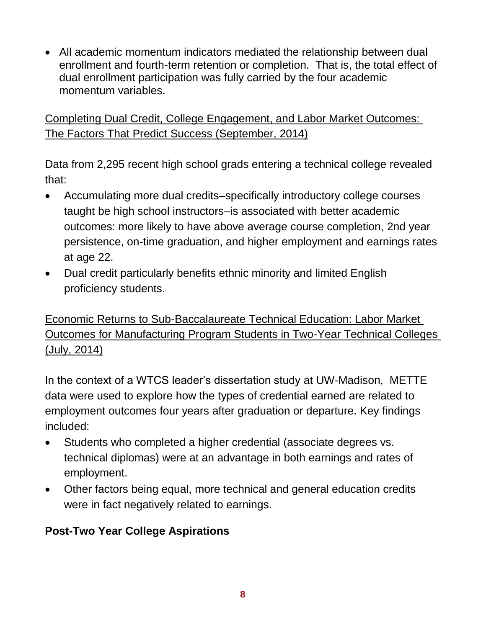All academic momentum indicators mediated the relationship between dual enrollment and fourth-term retention or completion. That is, the total effect of dual enrollment participation was fully carried by the four academic momentum variables.

Completing Dual Credit, College Engagement, and Labor Market Outcomes: The Factors That Predict Success (September, 2014)

Data from 2,295 recent high school grads entering a technical college revealed that:

- Accumulating more dual credits–specifically introductory college courses taught be high school instructors–is associated with better academic outcomes: more likely to have above average course completion, 2nd year persistence, on-time graduation, and higher employment and earnings rates at age 22.
- Dual credit particularly benefits ethnic minority and limited English proficiency students.

Economic Returns to Sub-Baccalaureate Technical Education: Labor Market Outcomes for Manufacturing Program Students in Two-Year Technical Colleges (July, 2014)

In the context of a WTCS leader's dissertation study at UW-Madison, METTE data were used to explore how the types of credential earned are related to employment outcomes four years after graduation or departure. Key findings included:

- Students who completed a higher credential (associate degrees vs. technical diplomas) were at an advantage in both earnings and rates of employment.
- Other factors being equal, more technical and general education credits were in fact negatively related to earnings.

#### **Post-Two Year College Aspirations**